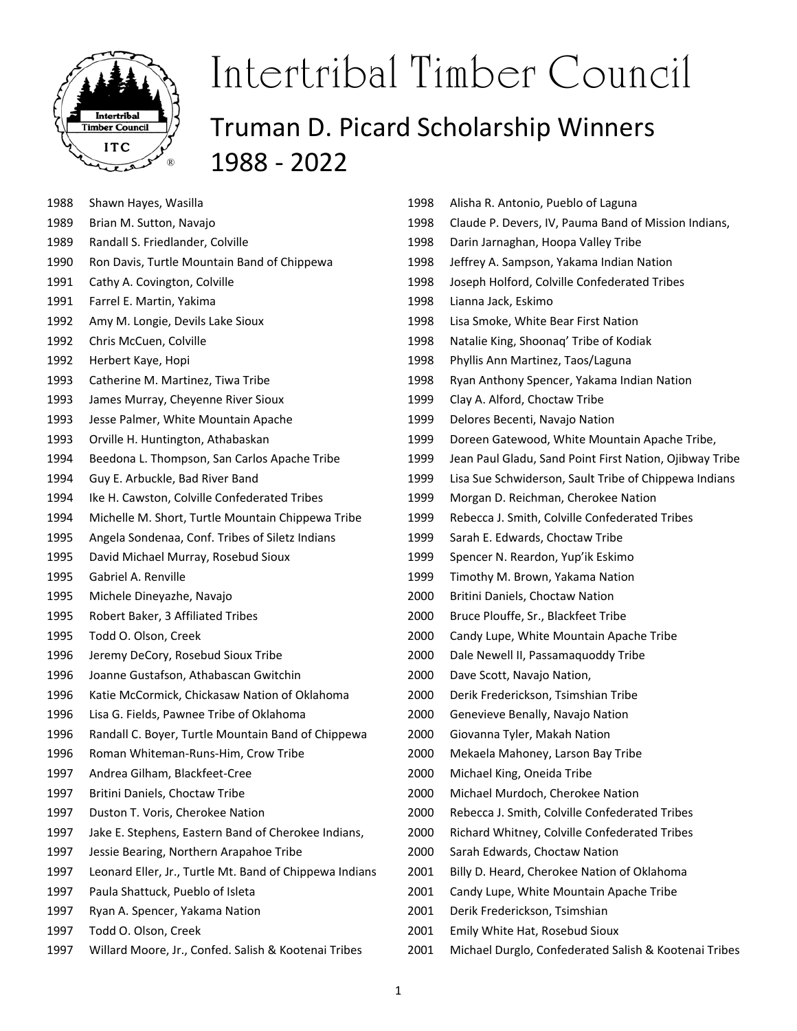

| 1988 | Shawn Hayes, Wasilla                                    |
|------|---------------------------------------------------------|
| 1989 | Brian M. Sutton, Navajo                                 |
| 1989 | Randall S. Friedlander, Colville                        |
| 1990 | Ron Davis, Turtle Mountain Band of Chippewa             |
| 1991 | Cathy A. Covington, Colville                            |
| 1991 | Farrel E. Martin, Yakima                                |
| 1992 | Amy M. Longie, Devils Lake Sioux                        |
| 1992 | Chris McCuen, Colville                                  |
| 1992 | Herbert Kaye, Hopi                                      |
| 1993 | Catherine M. Martinez, Tiwa Tribe                       |
| 1993 | James Murray, Cheyenne River Sioux                      |
| 1993 | Jesse Palmer, White Mountain Apache                     |
| 1993 | Orville H. Huntington, Athabaskan                       |
| 1994 | Beedona L. Thompson, San Carlos Apache Tribe            |
| 1994 | Guy E. Arbuckle, Bad River Band                         |
| 1994 | Ike H. Cawston, Colville Confederated Tribes            |
| 1994 | Michelle M. Short, Turtle Mountain Chippewa Tribe       |
| 1995 | Angela Sondenaa, Conf. Tribes of Siletz Indians         |
| 1995 | David Michael Murray, Rosebud Sioux                     |
| 1995 | Gabriel A. Renville                                     |
| 1995 | Michele Dineyazhe, Navajo                               |
| 1995 | Robert Baker, 3 Affiliated Tribes                       |
| 1995 | Todd O. Olson, Creek                                    |
| 1996 | Jeremy DeCory, Rosebud Sioux Tribe                      |
| 1996 | Joanne Gustafson, Athabascan Gwitchin                   |
| 1996 | Katie McCormick, Chickasaw Nation of Oklahoma           |
| 1996 | Lisa G. Fields, Pawnee Tribe of Oklahoma                |
| 1996 | Randall C. Boyer, Turtle Mountain Band of Chippewa      |
| 1996 | Roman Whiteman-Runs-Him, Crow Tribe                     |
| 1997 | Andrea Gilham, Blackfeet-Cree                           |
| 1997 | Britini Daniels, Choctaw Tribe                          |
| 1997 | Duston T. Voris, Cherokee Nation                        |
| 1997 | Jake E. Stephens, Eastern Band of Cherokee Indians,     |
| 1997 | Jessie Bearing, Northern Arapahoe Tribe                 |
| 1997 | Leonard Eller, Jr., Turtle Mt. Band of Chippewa Indians |
| 1997 | Paula Shattuck, Pueblo of Isleta                        |
| 1997 | Ryan A. Spencer, Yakama Nation                          |
| 1997 | Todd O. Olson, Creek                                    |
|      |                                                         |

1997 Willard Moore, Jr., Confed. Salish & Kootenai Tribes

| 1998 | Alisha R. Antonio, Pueblo of Laguna                     |
|------|---------------------------------------------------------|
| 1998 | Claude P. Devers, IV, Pauma Band of Mission Indians,    |
| 1998 | Darin Jarnaghan, Hoopa Valley Tribe                     |
| 1998 | Jeffrey A. Sampson, Yakama Indian Nation                |
| 1998 | Joseph Holford, Colville Confederated Tribes            |
| 1998 | Lianna Jack, Eskimo                                     |
| 1998 | Lisa Smoke, White Bear First Nation                     |
| 1998 | Natalie King, Shoonaq' Tribe of Kodiak                  |
| 1998 | Phyllis Ann Martinez, Taos/Laguna                       |
| 1998 | Ryan Anthony Spencer, Yakama Indian Nation              |
| 1999 | Clay A. Alford, Choctaw Tribe                           |
| 1999 | Delores Becenti, Navajo Nation                          |
| 1999 | Doreen Gatewood, White Mountain Apache Tribe,           |
| 1999 | Jean Paul Gladu, Sand Point First Nation, Ojibway Tribe |
| 1999 | Lisa Sue Schwiderson, Sault Tribe of Chippewa Indians   |
| 1999 | Morgan D. Reichman, Cherokee Nation                     |
| 1999 | Rebecca J. Smith, Colville Confederated Tribes          |
| 1999 | Sarah E. Edwards, Choctaw Tribe                         |
| 1999 | Spencer N. Reardon, Yup'ik Eskimo                       |
| 1999 | Timothy M. Brown, Yakama Nation                         |
| 2000 | Britini Daniels, Choctaw Nation                         |
| 2000 | Bruce Plouffe, Sr., Blackfeet Tribe                     |
| 2000 | Candy Lupe, White Mountain Apache Tribe                 |
| 2000 | Dale Newell II, Passamaquoddy Tribe                     |
| 2000 | Dave Scott, Navajo Nation,                              |
| 2000 | Derik Frederickson, Tsimshian Tribe                     |
| 2000 | Genevieve Benally, Navajo Nation                        |
| 2000 | Giovanna Tyler, Makah Nation                            |
| 2000 | Mekaela Mahoney, Larson Bay Tribe                       |
| 2000 | Michael King, Oneida Tribe                              |
| 2000 | Michael Murdoch, Cherokee Nation                        |
| 2000 | Rebecca J. Smith, Colville Confederated Tribes          |
| 2000 | Richard Whitney, Colville Confederated Tribes           |
| 2000 | Sarah Edwards, Choctaw Nation                           |
| 2001 | Billy D. Heard, Cherokee Nation of Oklahoma             |
| 2001 | Candy Lupe, White Mountain Apache Tribe                 |
| 2001 | Derik Frederickson, Tsimshian                           |
| 2001 | Emily White Hat, Rosebud Sioux                          |
| 2001 | Michael Durglo, Confederated Salish & Kootenai Tribes   |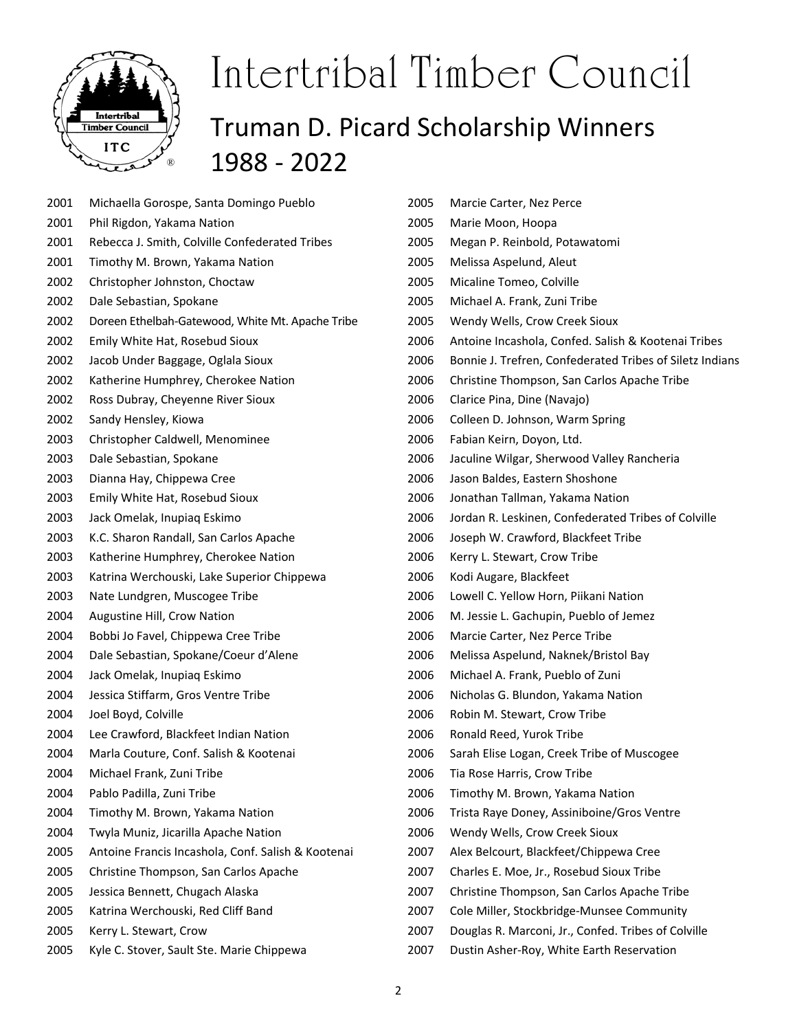

| 2001 | Michaella Gorospe, Santa Domingo Pueblo            |
|------|----------------------------------------------------|
| 2001 | Phil Rigdon, Yakama Nation                         |
| 2001 | Rebecca J. Smith, Colville Confederated Tribes     |
| 2001 | Timothy M. Brown, Yakama Nation                    |
| 2002 | Christopher Johnston, Choctaw                      |
| 2002 | Dale Sebastian, Spokane                            |
| 2002 | Doreen Ethelbah-Gatewood, White Mt. Apache Tribe   |
| 2002 | Emily White Hat, Rosebud Sioux                     |
| 2002 | Jacob Under Baggage, Oglala Sioux                  |
| 2002 | Katherine Humphrey, Cherokee Nation                |
| 2002 | Ross Dubray, Cheyenne River Sioux                  |
| 2002 | Sandy Hensley, Kiowa                               |
| 2003 | Christopher Caldwell, Menominee                    |
| 2003 | Dale Sebastian, Spokane                            |
| 2003 | Dianna Hay, Chippewa Cree                          |
| 2003 | Emily White Hat, Rosebud Sioux                     |
| 2003 | Jack Omelak, Inupiag Eskimo                        |
| 2003 | K.C. Sharon Randall, San Carlos Apache             |
| 2003 | Katherine Humphrey, Cherokee Nation                |
| 2003 | Katrina Werchouski, Lake Superior Chippewa         |
| 2003 | Nate Lundgren, Muscogee Tribe                      |
| 2004 | Augustine Hill, Crow Nation                        |
| 2004 | Bobbi Jo Favel, Chippewa Cree Tribe                |
| 2004 | Dale Sebastian, Spokane/Coeur d'Alene              |
| 2004 | Jack Omelak, Inupiaq Eskimo                        |
| 2004 | Jessica Stiffarm, Gros Ventre Tribe                |
| 2004 | Joel Boyd, Colville                                |
| 2004 | Lee Crawford, Blackfeet Indian Nation              |
| 2004 | Marla Couture, Conf. Salish & Kootenai             |
| 2004 | Michael Frank, Zuni Tribe                          |
| 2004 | Pablo Padilla, Zuni Tribe                          |
| 2004 | Timothy M. Brown, Yakama Nation                    |
| 2004 | Twyla Muniz, Jicarilla Apache Nation               |
| 2005 | Antoine Francis Incashola, Conf. Salish & Kootenai |
| 2005 | Christine Thompson, San Carlos Apache              |
| 2005 | Jessica Bennett, Chugach Alaska                    |
| 2005 | Katrina Werchouski, Red Cliff Band                 |
| 2005 | Kerry L. Stewart, Crow                             |
| 2005 | Kyle C. Stover, Sault Ste. Marie Chippewa          |

| 2005 | Marcie Carter, Nez Perce                                 |
|------|----------------------------------------------------------|
| 2005 | Marie Moon, Hoopa                                        |
| 2005 | Megan P. Reinbold, Potawatomi                            |
| 2005 | Melissa Aspelund, Aleut                                  |
| 2005 | Micaline Tomeo, Colville                                 |
| 2005 | Michael A. Frank, Zuni Tribe                             |
| 2005 | Wendy Wells, Crow Creek Sioux                            |
| 2006 | Antoine Incashola, Confed. Salish & Kootenai Tribes      |
| 2006 | Bonnie J. Trefren, Confederated Tribes of Siletz Indians |
| 2006 | Christine Thompson, San Carlos Apache Tribe              |
| 2006 | Clarice Pina, Dine (Navajo)                              |
| 2006 | Colleen D. Johnson, Warm Spring                          |
| 2006 | Fabian Keirn, Doyon, Ltd.                                |
| 2006 | Jaculine Wilgar, Sherwood Valley Rancheria               |
| 2006 | Jason Baldes, Eastern Shoshone                           |
| 2006 | Jonathan Tallman, Yakama Nation                          |
| 2006 | Jordan R. Leskinen, Confederated Tribes of Colville      |
| 2006 | Joseph W. Crawford, Blackfeet Tribe                      |
| 2006 | Kerry L. Stewart, Crow Tribe                             |
| 2006 | Kodi Augare, Blackfeet                                   |
| 2006 | Lowell C. Yellow Horn, Piikani Nation                    |
| 2006 | M. Jessie L. Gachupin, Pueblo of Jemez                   |
| 2006 | Marcie Carter, Nez Perce Tribe                           |
| 2006 | Melissa Aspelund, Naknek/Bristol Bay                     |
| 2006 | Michael A. Frank, Pueblo of Zuni                         |
| 2006 | Nicholas G. Blundon, Yakama Nation                       |
| 2006 | Robin M. Stewart, Crow Tribe                             |
| 2006 | Ronald Reed, Yurok Tribe                                 |
| 2006 | Sarah Elise Logan, Creek Tribe of Muscogee               |
| 2006 | Tia Rose Harris, Crow Tribe                              |
| 2006 | Timothy M. Brown, Yakama Nation                          |
| 2006 | Trista Raye Doney, Assiniboine/Gros Ventre               |
| 2006 | Wendy Wells, Crow Creek Sioux                            |
| 2007 | Alex Belcourt, Blackfeet/Chippewa Cree                   |
| 2007 | Charles E. Moe, Jr., Rosebud Sioux Tribe                 |
| 2007 | Christine Thompson, San Carlos Apache Tribe              |
| 2007 | Cole Miller, Stockbridge-Munsee Community                |
| 2007 | Douglas R. Marconi, Jr., Confed. Tribes of Colville      |

2007 Dustin Asher-Roy, White Earth Reservation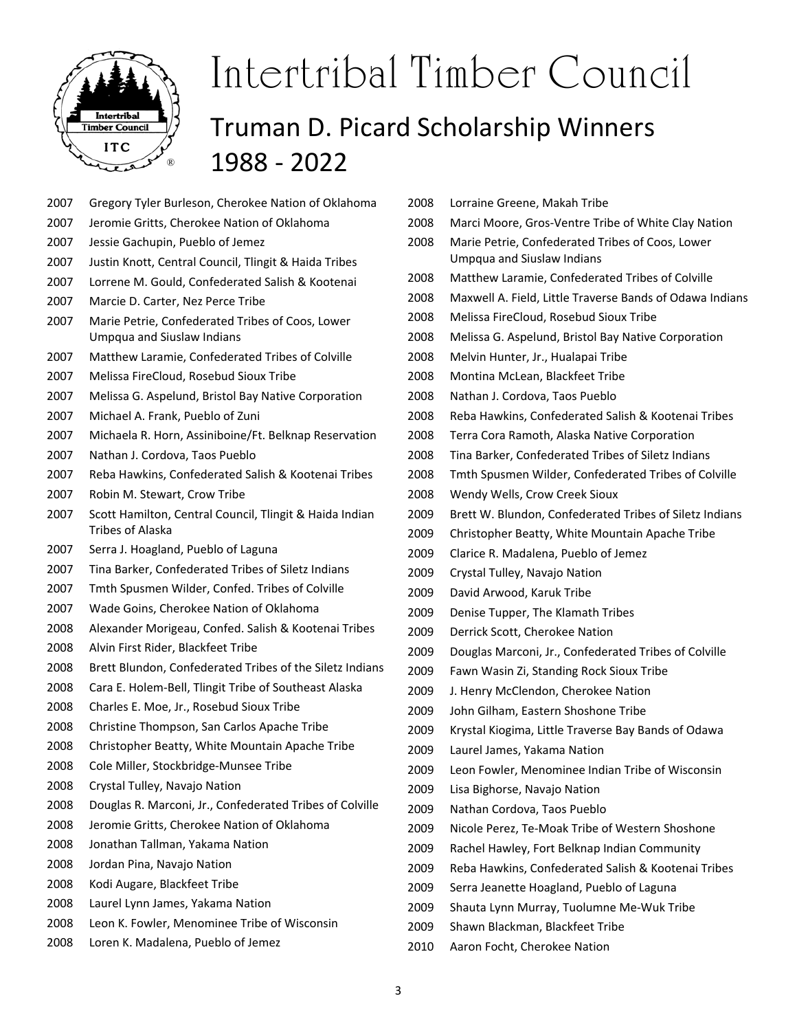

- 2007 Gregory Tyler Burleson, Cherokee Nation of Oklahoma
- 2007 Jeromie Gritts, Cherokee Nation of Oklahoma
- 2007 Jessie Gachupin, Pueblo of Jemez
- 2007 Justin Knott, Central Council, Tlingit & Haida Tribes
- 2007 Lorrene M. Gould, Confederated Salish & Kootenai
- 2007 Marcie D. Carter, Nez Perce Tribe
- 2007 Marie Petrie, Confederated Tribes of Coos, Lower Umpqua and Siuslaw Indians
- 2007 Matthew Laramie, Confederated Tribes of Colville
- 2007 Melissa FireCloud, Rosebud Sioux Tribe
- 2007 Melissa G. Aspelund, Bristol Bay Native Corporation
- 2007 Michael A. Frank, Pueblo of Zuni
- 2007 Michaela R. Horn, Assiniboine/Ft. Belknap Reservation
- 2007 Nathan J. Cordova, Taos Pueblo
- 2007 Reba Hawkins, Confederated Salish & Kootenai Tribes
- 2007 Robin M. Stewart, Crow Tribe
- 2007 Scott Hamilton, Central Council, Tlingit & Haida Indian Tribes of Alaska
- 2007 Serra J. Hoagland, Pueblo of Laguna
- 2007 Tina Barker, Confederated Tribes of Siletz Indians
- 2007 Tmth Spusmen Wilder, Confed. Tribes of Colville
- 2007 Wade Goins, Cherokee Nation of Oklahoma
- 2008 Alexander Morigeau, Confed. Salish & Kootenai Tribes
- 2008 Alvin First Rider, Blackfeet Tribe
- 2008 Brett Blundon, Confederated Tribes of the Siletz Indians
- 2008 Cara E. Holem‐Bell, Tlingit Tribe of Southeast Alaska
- 2008 Charles E. Moe, Jr., Rosebud Sioux Tribe
- 2008 Christine Thompson, San Carlos Apache Tribe
- 2008 Christopher Beatty, White Mountain Apache Tribe
- 2008 Cole Miller, Stockbridge‐Munsee Tribe
- 2008 Crystal Tulley, Navajo Nation
- 2008 Douglas R. Marconi, Jr., Confederated Tribes of Colville
- 2008 Jeromie Gritts, Cherokee Nation of Oklahoma
- 2008 Jonathan Tallman, Yakama Nation
- 2008 Jordan Pina, Navajo Nation
- 2008 Kodi Augare, Blackfeet Tribe
- 2008 Laurel Lynn James, Yakama Nation
- 2008 Leon K. Fowler, Menominee Tribe of Wisconsin
- 2008 Loren K. Madalena, Pueblo of Jemez
- 2008 Lorraine Greene, Makah Tribe 2008 Marci Moore, Gros‐Ventre Tribe of White Clay Nation 2008 Marie Petrie, Confederated Tribes of Coos, Lower Umpqua and Siuslaw Indians 2008 Matthew Laramie, Confederated Tribes of Colville 2008 Maxwell A. Field, Little Traverse Bands of Odawa Indians 2008 Melissa FireCloud, Rosebud Sioux Tribe 2008 Melissa G. Aspelund, Bristol Bay Native Corporation 2008 Melvin Hunter, Jr., Hualapai Tribe 2008 Montina McLean, Blackfeet Tribe 2008 Nathan J. Cordova, Taos Pueblo 2008 Reba Hawkins, Confederated Salish & Kootenai Tribes 2008 Terra Cora Ramoth, Alaska Native Corporation 2008 Tina Barker, Confederated Tribes of Siletz Indians 2008 Tmth Spusmen Wilder, Confederated Tribes of Colville 2008 Wendy Wells, Crow Creek Sioux 2009 Brett W. Blundon, Confederated Tribes of Siletz Indians 2009 Christopher Beatty, White Mountain Apache Tribe 2009 Clarice R. Madalena, Pueblo of Jemez 2009 Crystal Tulley, Navajo Nation 2009 David Arwood, Karuk Tribe 2009 Denise Tupper, The Klamath Tribes 2009 Derrick Scott, Cherokee Nation 2009 Douglas Marconi, Jr., Confederated Tribes of Colville 2009 Fawn Wasin Zi, Standing Rock Sioux Tribe 2009 J. Henry McClendon, Cherokee Nation 2009 John Gilham, Eastern Shoshone Tribe 2009 Krystal Kiogima, Little Traverse Bay Bands of Odawa 2009 Laurel James, Yakama Nation 2009 Leon Fowler, Menominee Indian Tribe of Wisconsin 2009 Lisa Bighorse, Navajo Nation 2009 Nathan Cordova, Taos Pueblo 2009 Nicole Perez, Te‐Moak Tribe of Western Shoshone 2009 Rachel Hawley, Fort Belknap Indian Community 2009 Reba Hawkins, Confederated Salish & Kootenai Tribes 2009 Serra Jeanette Hoagland, Pueblo of Laguna
- 2009 Shauta Lynn Murray, Tuolumne Me‐Wuk Tribe
- 2009 Shawn Blackman, Blackfeet Tribe
- 2010 Aaron Focht, Cherokee Nation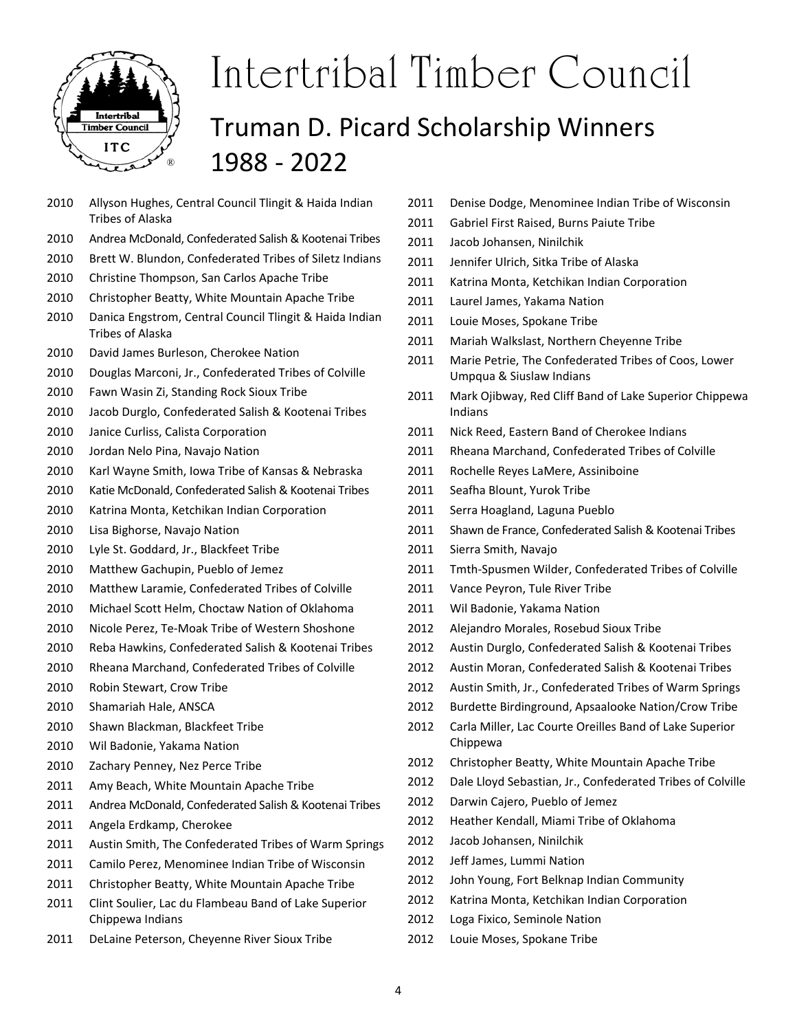

- 2010 Allyson Hughes, Central Council Tlingit & Haida Indian Tribes of Alaska
- 2010 Andrea McDonald, Confederated Salish & Kootenai Tribes
- 2010 Brett W. Blundon, Confederated Tribes of Siletz Indians
- 2010 Christine Thompson, San Carlos Apache Tribe
- 2010 Christopher Beatty, White Mountain Apache Tribe
- 2010 Danica Engstrom, Central Council Tlingit & Haida Indian Tribes of Alaska
- 2010 David James Burleson, Cherokee Nation
- 2010 Douglas Marconi, Jr., Confederated Tribes of Colville
- 2010 Fawn Wasin Zi, Standing Rock Sioux Tribe
- 2010 Jacob Durglo, Confederated Salish & Kootenai Tribes
- 2010 Janice Curliss, Calista Corporation
- 2010 Jordan Nelo Pina, Navajo Nation
- 2010 Karl Wayne Smith, Iowa Tribe of Kansas & Nebraska
- 2010 Katie McDonald, Confederated Salish & Kootenai Tribes
- 2010 Katrina Monta, Ketchikan Indian Corporation
- 2010 Lisa Bighorse, Navajo Nation
- 2010 Lyle St. Goddard, Jr., Blackfeet Tribe
- 2010 Matthew Gachupin, Pueblo of Jemez
- 2010 Matthew Laramie, Confederated Tribes of Colville
- 2010 Michael Scott Helm, Choctaw Nation of Oklahoma
- 2010 Nicole Perez, Te‐Moak Tribe of Western Shoshone
- 2010 Reba Hawkins, Confederated Salish & Kootenai Tribes
- 2010 Rheana Marchand, Confederated Tribes of Colville
- 2010 Robin Stewart, Crow Tribe
- 2010 Shamariah Hale, ANSCA
- 2010 Shawn Blackman, Blackfeet Tribe
- 2010 Wil Badonie, Yakama Nation
- 2010 Zachary Penney, Nez Perce Tribe
- 2011 Amy Beach, White Mountain Apache Tribe
- 2011 Andrea McDonald, Confederated Salish & Kootenai Tribes
- 2011 Angela Erdkamp, Cherokee
- 2011 Austin Smith, The Confederated Tribes of Warm Springs
- 2011 Camilo Perez, Menominee Indian Tribe of Wisconsin
- 2011 Christopher Beatty, White Mountain Apache Tribe
- 2011 Clint Soulier, Lac du Flambeau Band of Lake Superior Chippewa Indians
- 2011 DeLaine Peterson, Cheyenne River Sioux Tribe
- 2011 Denise Dodge, Menominee Indian Tribe of Wisconsin
- 2011 Gabriel First Raised, Burns Paiute Tribe
- 2011 Jacob Johansen, Ninilchik
- 2011 Jennifer Ulrich, Sitka Tribe of Alaska
- 2011 Katrina Monta, Ketchikan Indian Corporation
- 2011 Laurel James, Yakama Nation
- 2011 Louie Moses, Spokane Tribe
- 2011 Mariah Walkslast, Northern Cheyenne Tribe
- 2011 Marie Petrie, The Confederated Tribes of Coos, Lower Umpqua & Siuslaw Indians
- 2011 Mark Ojibway, Red Cliff Band of Lake Superior Chippewa Indians
- 2011 Nick Reed, Eastern Band of Cherokee Indians
- 2011 Rheana Marchand, Confederated Tribes of Colville
- 2011 Rochelle Reyes LaMere, Assiniboine
- 2011 Seafha Blount, Yurok Tribe
- 2011 Serra Hoagland, Laguna Pueblo
- 2011 Shawn de France, Confederated Salish & Kootenai Tribes
- 2011 Sierra Smith, Navajo
- 2011 Tmth-Spusmen Wilder, Confederated Tribes of Colville
- 2011 Vance Peyron, Tule River Tribe
- 2011 Wil Badonie, Yakama Nation
- 2012 Alejandro Morales, Rosebud Sioux Tribe
- 2012 Austin Durglo, Confederated Salish & Kootenai Tribes
- 2012 Austin Moran, Confederated Salish & Kootenai Tribes
- 2012 Austin Smith, Jr., Confederated Tribes of Warm Springs
- 2012 Burdette Birdinground, Apsaalooke Nation/Crow Tribe
- 2012 Carla Miller, Lac Courte Oreilles Band of Lake Superior Chippewa
- 2012 Christopher Beatty, White Mountain Apache Tribe
- 2012 Dale Lloyd Sebastian, Jr., Confederated Tribes of Colville
- 2012 Darwin Cajero, Pueblo of Jemez
- 2012 Heather Kendall, Miami Tribe of Oklahoma
- 2012 Jacob Johansen, Ninilchik
- 2012 Jeff James, Lummi Nation
- 2012 John Young, Fort Belknap Indian Community
- 2012 Katrina Monta, Ketchikan Indian Corporation
- 2012 Loga Fixico, Seminole Nation
- 2012 Louie Moses, Spokane Tribe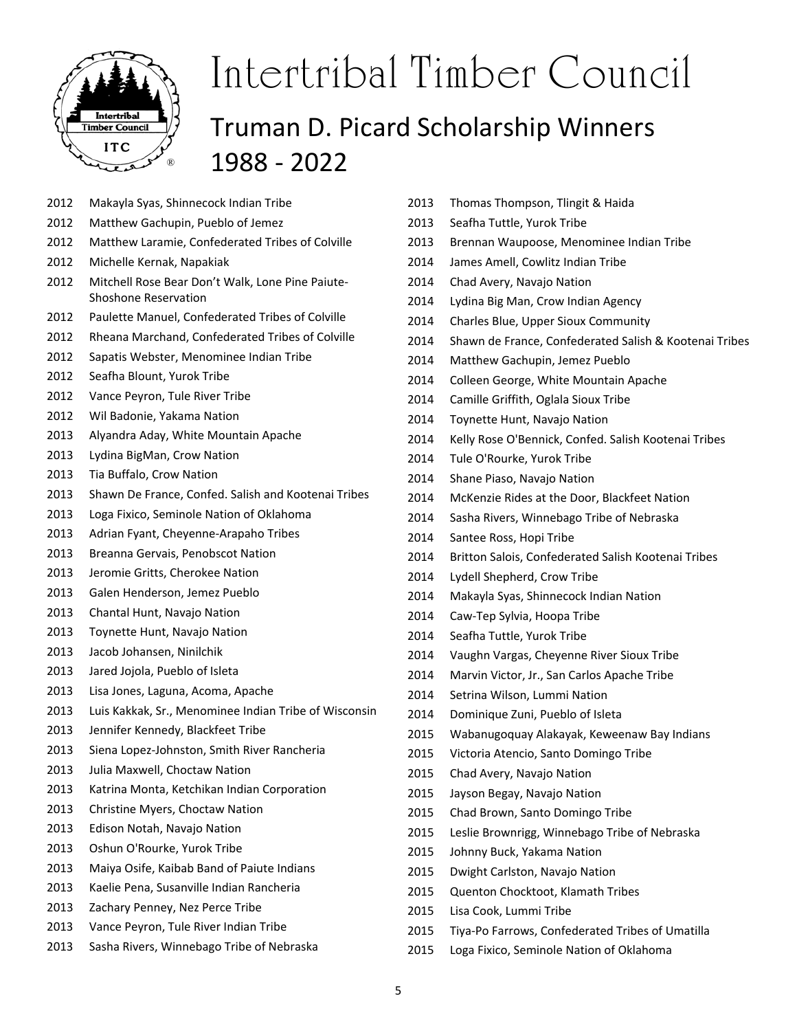

#### 2012 Makayla Syas, Shinnecock Indian Tribe

- 2012 Matthew Gachupin, Pueblo of Jemez
- 2012 Matthew Laramie, Confederated Tribes of Colville

1988 ‐ 2022

- 2012 Michelle Kernak, Napakiak
- 2012 Mitchell Rose Bear Don't Walk, Lone Pine Paiute‐ Shoshone Reservation
- 2012 Paulette Manuel, Confederated Tribes of Colville
- 2012 Rheana Marchand, Confederated Tribes of Colville
- 2012 Sapatis Webster, Menominee Indian Tribe
- 2012 Seafha Blount, Yurok Tribe
- 2012 Vance Peyron, Tule River Tribe
- 2012 Wil Badonie, Yakama Nation
- 2013 Alyandra Aday, White Mountain Apache
- 2013 Lydina BigMan, Crow Nation
- 2013 Tia Buffalo, Crow Nation
- 2013 Shawn De France, Confed. Salish and Kootenai Tribes
- 2013 Loga Fixico, Seminole Nation of Oklahoma
- 2013 Adrian Fyant, Cheyenne‐Arapaho Tribes
- 2013 Breanna Gervais, Penobscot Nation
- 2013 Jeromie Gritts, Cherokee Nation
- 2013 Galen Henderson, Jemez Pueblo
- 2013 Chantal Hunt, Navajo Nation
- 2013 Toynette Hunt, Navajo Nation
- 2013 Jacob Johansen, Ninilchik
- 2013 Jared Jojola, Pueblo of Isleta
- 
- 2013 Luis Kakkak, Sr., Menominee Indian Tribe of Wisconsin
- 2013 Jennifer Kennedy, Blackfeet Tribe
- 2013 Siena Lopez‐Johnston, Smith River Rancheria
- 2013 Julia Maxwell, Choctaw Nation
- 2013 Katrina Monta, Ketchikan Indian Corporation
- 2013 Christine Myers, Choctaw Nation
- 2013 Edison Notah, Navajo Nation
- 2013 Oshun O'Rourke, Yurok Tribe
- 2013 Maiya Osife, Kaibab Band of Paiute Indians
- 2013 Kaelie Pena, Susanville Indian Rancheria
- 2013 Zachary Penney, Nez Perce Tribe
- 2013 Vance Peyron, Tule River Indian Tribe
- 2013 Sasha Rivers, Winnebago Tribe of Nebraska
- 2013 Thomas Thompson, Tlingit & Haida
- 2013 Seafha Tuttle, Yurok Tribe
- 2013 Brennan Waupoose, Menominee Indian Tribe
- 2014 James Amell, Cowlitz Indian Tribe
- 2014 Chad Avery, Navajo Nation
- 2014 Lydina Big Man, Crow Indian Agency
- 2014 Charles Blue, Upper Sioux Community
- 2014 Shawn de France, Confederated Salish & Kootenai Tribes
- 2014 Matthew Gachupin, Jemez Pueblo
- 2014 Colleen George, White Mountain Apache
- 2014 Camille Griffith, Oglala Sioux Tribe
- 2014 Toynette Hunt, Navajo Nation
- 2014 Kelly Rose O'Bennick, Confed. Salish Kootenai Tribes
- 2014 Tule O'Rourke, Yurok Tribe
- 2014 Shane Piaso, Navajo Nation
- 2014 McKenzie Rides at the Door, Blackfeet Nation
- 2014 Sasha Rivers, Winnebago Tribe of Nebraska
- 2014 Santee Ross, Hopi Tribe
- 2014 Britton Salois, Confederated Salish Kootenai Tribes
- 2014 Lydell Shepherd, Crow Tribe
- 2014 Makayla Syas, Shinnecock Indian Nation
- 2014 Caw‐Tep Sylvia, Hoopa Tribe
- 2014 Seafha Tuttle, Yurok Tribe
- 2014 Vaughn Vargas, Cheyenne River Sioux Tribe
- 2014 Marvin Victor, Jr., San Carlos Apache Tribe
- 2014 Setrina Wilson, Lummi Nation
- 2014 Dominique Zuni, Pueblo of Isleta
- 2015 Wabanugoquay Alakayak, Keweenaw Bay Indians
- 2015 Victoria Atencio, Santo Domingo Tribe
- 2015 Chad Avery, Navajo Nation
- 2015 Jayson Begay, Navajo Nation
- 2015 Chad Brown, Santo Domingo Tribe
- 2015 Leslie Brownrigg, Winnebago Tribe of Nebraska
- 2015 Johnny Buck, Yakama Nation
- 2015 Dwight Carlston, Navajo Nation
- 2015 Quenton Chocktoot, Klamath Tribes
- 2015 Lisa Cook, Lummi Tribe
- 2015 Tiya‐Po Farrows, Confederated Tribes of Umatilla
- 2015 Loga Fixico, Seminole Nation of Oklahoma

2013 Lisa Jones, Laguna, Acoma, Apache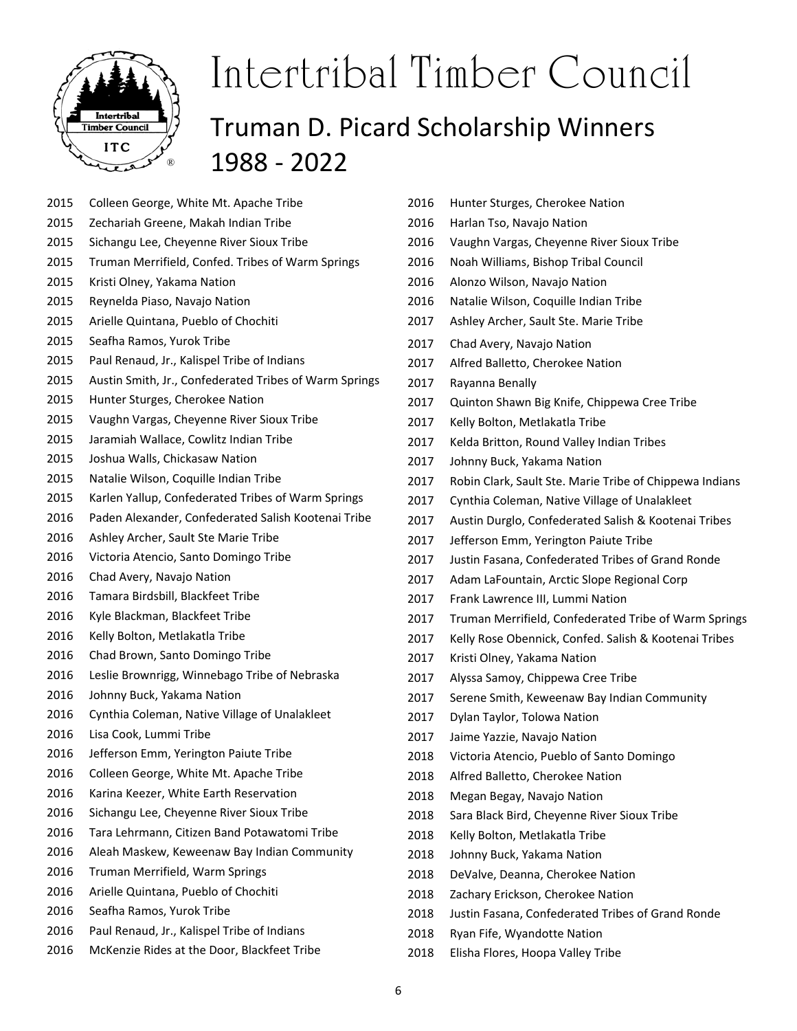

- 2015 Colleen George, White Mt. Apache Tribe
- 2015 Zechariah Greene, Makah Indian Tribe
- 2015 Sichangu Lee, Cheyenne River Sioux Tribe
- 2015 Truman Merrifield, Confed. Tribes of Warm Springs
- 2015 Kristi Olney, Yakama Nation
- 2015 Reynelda Piaso, Navajo Nation
- 2015 Arielle Quintana, Pueblo of Chochiti
- 2015 Seafha Ramos, Yurok Tribe
- 2015 Paul Renaud, Jr., Kalispel Tribe of Indians
- 2015 Austin Smith, Jr., Confederated Tribes of Warm Springs
- 2015 Hunter Sturges, Cherokee Nation
- 2015 Vaughn Vargas, Cheyenne River Sioux Tribe
- 2015 Jaramiah Wallace, Cowlitz Indian Tribe
- 2015 Joshua Walls, Chickasaw Nation
- 2015 Natalie Wilson, Coquille Indian Tribe
- 2015 Karlen Yallup, Confederated Tribes of Warm Springs
- 2016 Paden Alexander, Confederated Salish Kootenai Tribe
- 2016 Ashley Archer, Sault Ste Marie Tribe
- 2016 Victoria Atencio, Santo Domingo Tribe
- 2016 Chad Avery, Navajo Nation
- 2016 Tamara Birdsbill, Blackfeet Tribe
- 2016 Kyle Blackman, Blackfeet Tribe
- 2016 Kelly Bolton, Metlakatla Tribe
- 2016 Chad Brown, Santo Domingo Tribe
- 2016 Leslie Brownrigg, Winnebago Tribe of Nebraska
- 2016 Johnny Buck, Yakama Nation
- 2016 Cynthia Coleman, Native Village of Unalakleet
- 2016 Lisa Cook, Lummi Tribe
- 2016 Jefferson Emm, Yerington Paiute Tribe
- 2016 Colleen George, White Mt. Apache Tribe
- 2016 Karina Keezer, White Earth Reservation
- 2016 Sichangu Lee, Cheyenne River Sioux Tribe
- 2016 Tara Lehrmann, Citizen Band Potawatomi Tribe
- 2016 Aleah Maskew, Keweenaw Bay Indian Community
- 2016 Truman Merrifield, Warm Springs
- 2016 Arielle Quintana, Pueblo of Chochiti
- 2016 Seafha Ramos, Yurok Tribe
- 2016 Paul Renaud, Jr., Kalispel Tribe of Indians
- 2016 McKenzie Rides at the Door, Blackfeet Tribe
- 2016 Hunter Sturges, Cherokee Nation
- 2016 Harlan Tso, Navajo Nation
- 2016 Vaughn Vargas, Cheyenne River Sioux Tribe
- 2016 Noah Williams, Bishop Tribal Council
- 2016 Alonzo Wilson, Navajo Nation
- 2016 Natalie Wilson, Coquille Indian Tribe
- 2017 Ashley Archer, Sault Ste. Marie Tribe
- 2017 Chad Avery, Navajo Nation
- 2017 Alfred Balletto, Cherokee Nation
- 2017 Rayanna Benally
- 2017 Quinton Shawn Big Knife, Chippewa Cree Tribe
- 2017 Kelly Bolton, Metlakatla Tribe
- 2017 Kelda Britton, Round Valley Indian Tribes
- 2017 Johnny Buck, Yakama Nation
- 2017 Robin Clark, Sault Ste. Marie Tribe of Chippewa Indians
- 2017 Cynthia Coleman, Native Village of Unalakleet
- 2017 Austin Durglo, Confederated Salish & Kootenai Tribes
- 2017 Jefferson Emm, Yerington Paiute Tribe
- 2017 Justin Fasana, Confederated Tribes of Grand Ronde
- 2017 Adam LaFountain, Arctic Slope Regional Corp
- 2017 Frank Lawrence III, Lummi Nation
- 2017 Truman Merrifield, Confederated Tribe of Warm Springs
- 2017 Kelly Rose Obennick, Confed. Salish & Kootenai Tribes
- 2017 Kristi Olney, Yakama Nation
- 2017 Alyssa Samoy, Chippewa Cree Tribe
- 2017 Serene Smith, Keweenaw Bay Indian Community
- 2017 Dylan Taylor, Tolowa Nation
- 2017 Jaime Yazzie, Navajo Nation
- 2018 Victoria Atencio, Pueblo of Santo Domingo
- 2018 Alfred Balletto, Cherokee Nation
- 2018 Megan Begay, Navajo Nation
- 2018 Sara Black Bird, Cheyenne River Sioux Tribe
- 2018 Kelly Bolton, Metlakatla Tribe
- 2018 Johnny Buck, Yakama Nation
- 2018 DeValve, Deanna, Cherokee Nation
- 2018 Zachary Erickson, Cherokee Nation
- 2018 Justin Fasana, Confederated Tribes of Grand Ronde
- 2018 Ryan Fife, Wyandotte Nation
- 2018 Elisha Flores, Hoopa Valley Tribe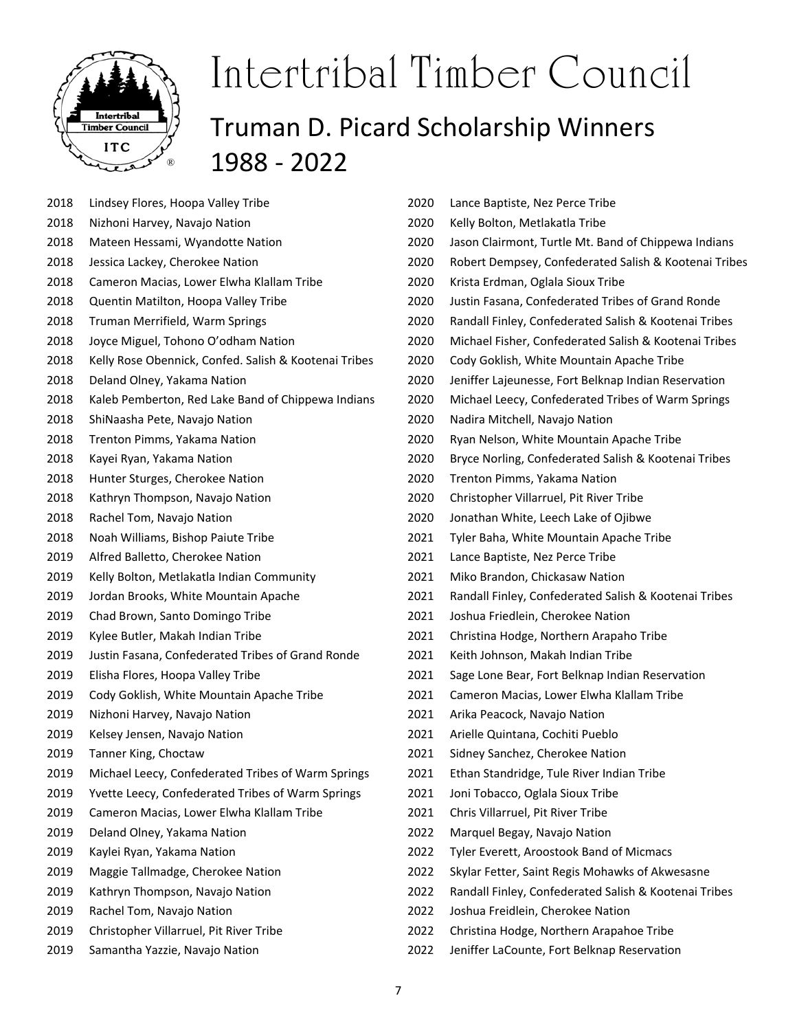

- 2018 Lindsey Flores, Hoopa Valley Tribe
- 2018 Nizhoni Harvey, Navajo Nation
- 2018 Mateen Hessami, Wyandotte Nation
- 2018 Jessica Lackey, Cherokee Nation
- 2018 Cameron Macias, Lower Elwha Klallam Tribe
- 2018 Quentin Matilton, Hoopa Valley Tribe
- 2018 Truman Merrifield, Warm Springs
- 2018 Joyce Miguel, Tohono O'odham Nation
- 2018 Kelly Rose Obennick, Confed. Salish & Kootenai Tribes
- 2018 Deland Olney, Yakama Nation
- 2018 Kaleb Pemberton, Red Lake Band of Chippewa Indians
- 2018 ShiNaasha Pete, Navajo Nation
- 2018 Trenton Pimms, Yakama Nation
- 2018 Kayei Ryan, Yakama Nation
- 2018 Hunter Sturges, Cherokee Nation
- 2018 Kathryn Thompson, Navajo Nation
- 2018 Rachel Tom, Navajo Nation
- 2018 Noah Williams, Bishop Paiute Tribe
- 2019 Alfred Balletto, Cherokee Nation
- 2019 Kelly Bolton, Metlakatla Indian Community
- 2019 Jordan Brooks, White Mountain Apache
- 2019 Chad Brown, Santo Domingo Tribe
- 2019 Kylee Butler, Makah Indian Tribe
- 2019 Justin Fasana, Confederated Tribes of Grand Ronde
- 2019 Elisha Flores, Hoopa Valley Tribe
- 2019 Cody Goklish, White Mountain Apache Tribe
- 2019 Nizhoni Harvey, Navajo Nation
- 2019 Kelsey Jensen, Navajo Nation
- 2019 Tanner King, Choctaw
- 2019 Michael Leecy, Confederated Tribes of Warm Springs
- 2019 Yvette Leecy, Confederated Tribes of Warm Springs
- 2019 Cameron Macias, Lower Elwha Klallam Tribe
- 2019 Deland Olney, Yakama Nation
- 2019 Kaylei Ryan, Yakama Nation
- 2019 Maggie Tallmadge, Cherokee Nation
- 2019 Kathryn Thompson, Navajo Nation
- 2019 Rachel Tom, Navajo Nation
- 2019 Christopher Villarruel, Pit River Tribe
- 2019 Samantha Yazzie, Navajo Nation
- 2020 Lance Baptiste, Nez Perce Tribe 2020 Kelly Bolton, Metlakatla Tribe 2020 Jason Clairmont, Turtle Mt. Band of Chippewa Indians 2020 Robert Dempsey, Confederated Salish & Kootenai Tribes 2020 Krista Erdman, Oglala Sioux Tribe 2020 Justin Fasana, Confederated Tribes of Grand Ronde 2020 Randall Finley, Confederated Salish & Kootenai Tribes 2020 Michael Fisher, Confederated Salish & Kootenai Tribes 2020 Cody Goklish, White Mountain Apache Tribe 2020 Jeniffer Lajeunesse, Fort Belknap Indian Reservation 2020 Michael Leecy, Confederated Tribes of Warm Springs 2020 Nadira Mitchell, Navajo Nation 2020 Ryan Nelson, White Mountain Apache Tribe 2020 Bryce Norling, Confederated Salish & Kootenai Tribes 2020 Trenton Pimms, Yakama Nation 2020 Christopher Villarruel, Pit River Tribe 2020 Jonathan White, Leech Lake of Ojibwe 2021 Tyler Baha, White Mountain Apache Tribe 2021 Lance Baptiste, Nez Perce Tribe 2021 Miko Brandon, Chickasaw Nation 2021 Randall Finley, Confederated Salish & Kootenai Tribes 2021 Joshua Friedlein, Cherokee Nation 2021 Christina Hodge, Northern Arapaho Tribe 2021 Keith Johnson, Makah Indian Tribe 2021 Sage Lone Bear, Fort Belknap Indian Reservation 2021 Cameron Macias, Lower Elwha Klallam Tribe 2021 Arika Peacock, Navajo Nation 2021 Arielle Quintana, Cochiti Pueblo 2021 Sidney Sanchez, Cherokee Nation 2021 Ethan Standridge, Tule River Indian Tribe 2021 Joni Tobacco, Oglala Sioux Tribe 2021 Chris Villarruel, Pit River Tribe 2022 Marquel Begay, Navajo Nation 2022 Tyler Everett, Aroostook Band of Micmacs 2022 Skylar Fetter, Saint Regis Mohawks of Akwesasne 2022 Randall Finley, Confederated Salish & Kootenai Tribes 2022 Joshua Freidlein, Cherokee Nation
- 2022 Christina Hodge, Northern Arapahoe Tribe
- 2022 Jeniffer LaCounte, Fort Belknap Reservation